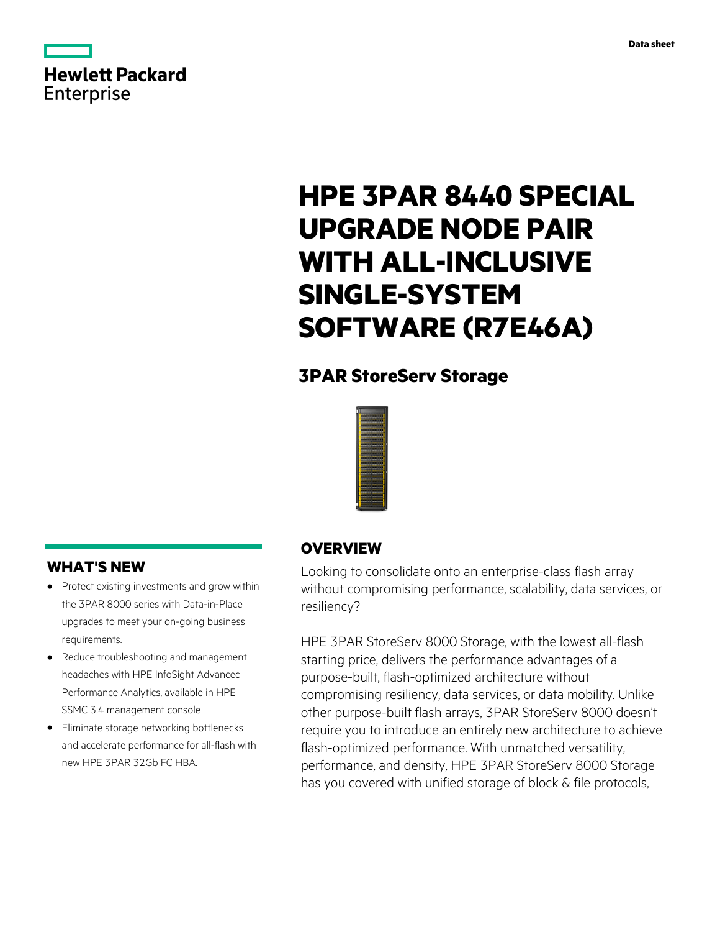

# **HPE 3PAR 8440 SPECIAL UPGRADE NODE PAIR WITH ALL-INCLUSIVE SINGLE-SYSTEM SOFTWARE (R7E46A)**

# **3PAR StoreServ Storage**



## **WHAT'S NEW**

- **·** Protect existing investments and grow within the 3PAR 8000 series with Data-in-Place upgrades to meet your on-going business requirements.
- **·** Reduce troubleshooting and management headaches with HPE InfoSight Advanced Performance Analytics, available in HPE SSMC 3.4 management console
- **·** Eliminate storage networking bottlenecks and accelerate performance for all-flash with new HPE 3PAR 32Gb FC HBA.

## **OVERVIEW**

Looking to consolidate onto an enterprise-class flash array without compromising performance, scalability, data services, or resiliency?

HPE 3PAR StoreServ 8000 Storage, with the lowest all-flash starting price, delivers the performance advantages of a purpose-built, flash-optimized architecture without compromising resiliency, data services, or data mobility. Unlike other purpose-built flash arrays, 3PAR StoreServ 8000 doesn't require you to introduce an entirely new architecture to achieve flash-optimized performance. With unmatched versatility, performance, and density, HPE 3PAR StoreServ 8000 Storage has you covered with unified storage of block & file protocols,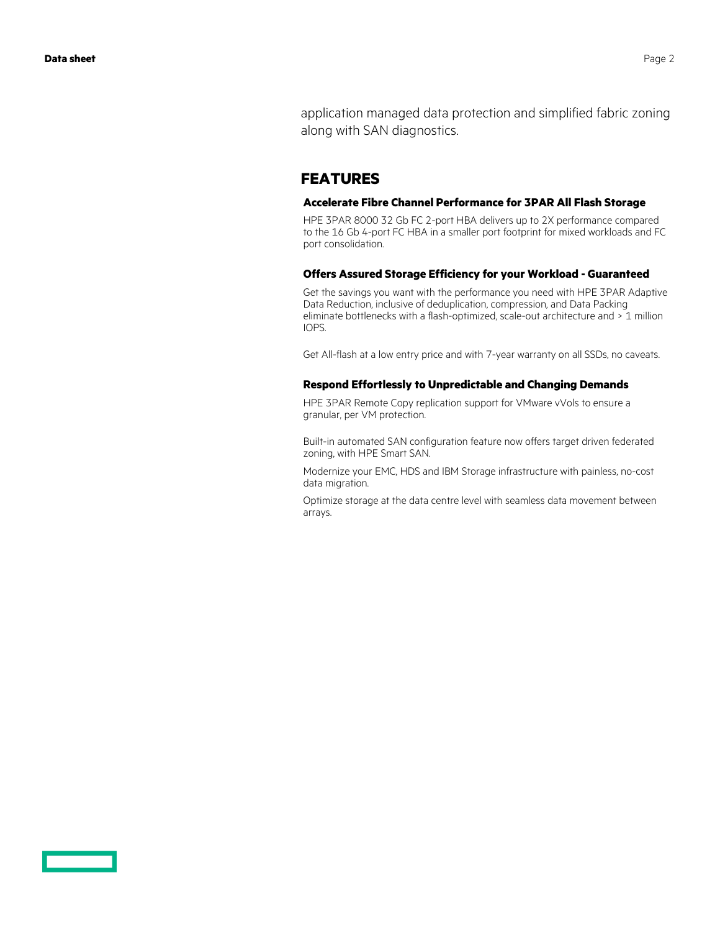application managed data protection and simplified fabric zoning along with SAN diagnostics.

## **FEATURES**

#### **Accelerate Fibre Channel Performance for 3PAR All Flash Storage**

HPE 3PAR 8000 32 Gb FC 2-port HBA delivers up to 2X performance compared to the 16 Gb 4-port FC HBA in a smaller port footprint for mixed workloads and FC port consolidation.

#### **Offers Assured Storage Efficiency for your Workload - Guaranteed**

Get the savings you want with the performance you need with HPE 3PAR Adaptive Data Reduction, inclusive of deduplication, compression, and Data Packing eliminate bottlenecks with a flash-optimized, scale-out architecture and > 1 million IOPS.

Get All-flash at a low entry price and with 7-year warranty on all SSDs, no caveats.

#### **Respond Effortlessly to Unpredictable and Changing Demands**

HPE 3PAR Remote Copy replication support for VMware vVols to ensure a granular, per VM protection.

Built-in automated SAN configuration feature now offers target driven federated zoning, with HPE Smart SAN.

Modernize your EMC, HDS and IBM Storage infrastructure with painless, no-cost data migration.

Optimize storage at the data centre level with seamless data movement between arrays.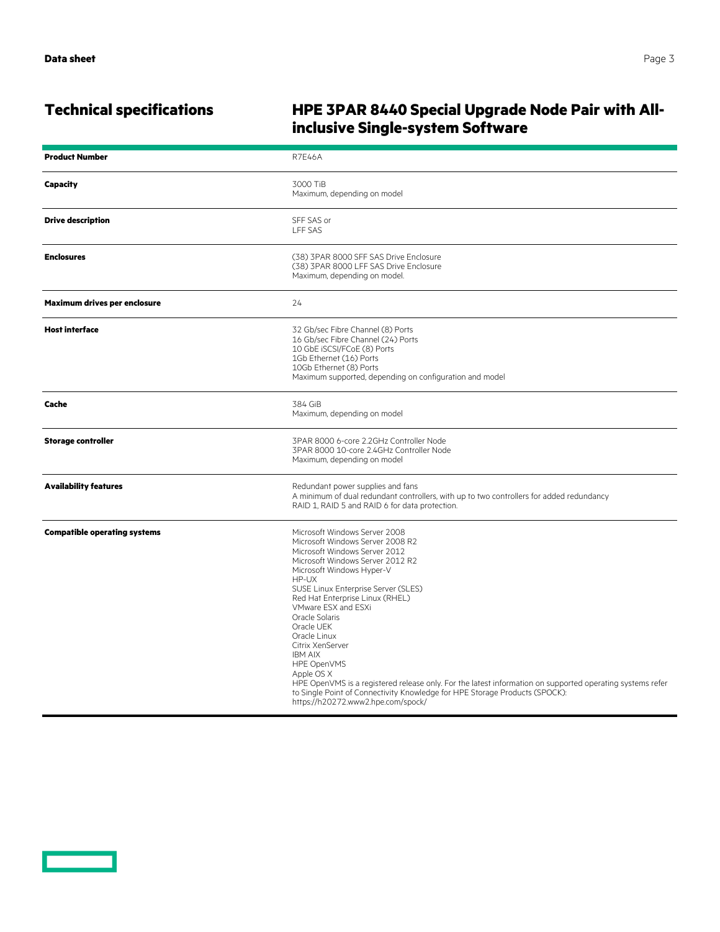## **Technical specifications HPE 3PAR 8440 Special Upgrade Node Pair with Allinclusive Single-system Software**

| <b>Product Number</b>               | <b>R7E46A</b>                                                                                                                                                                                                                                                                                                                                                                                                                                                                                                                                                                                                                             |
|-------------------------------------|-------------------------------------------------------------------------------------------------------------------------------------------------------------------------------------------------------------------------------------------------------------------------------------------------------------------------------------------------------------------------------------------------------------------------------------------------------------------------------------------------------------------------------------------------------------------------------------------------------------------------------------------|
| <b>Capacity</b>                     | 3000 TiB<br>Maximum, depending on model                                                                                                                                                                                                                                                                                                                                                                                                                                                                                                                                                                                                   |
| <b>Drive description</b>            | SFF SAS or<br><b>LFF SAS</b>                                                                                                                                                                                                                                                                                                                                                                                                                                                                                                                                                                                                              |
| <b>Enclosures</b>                   | (38) 3PAR 8000 SFF SAS Drive Enclosure<br>(38) 3PAR 8000 LFF SAS Drive Enclosure<br>Maximum, depending on model.                                                                                                                                                                                                                                                                                                                                                                                                                                                                                                                          |
| Maximum drives per enclosure        | 24                                                                                                                                                                                                                                                                                                                                                                                                                                                                                                                                                                                                                                        |
| <b>Host interface</b>               | 32 Gb/sec Fibre Channel (8) Ports<br>16 Gb/sec Fibre Channel (24) Ports<br>10 GbE iSCSI/FCoE (8) Ports<br>1Gb Ethernet (16) Ports<br>10Gb Ethernet (8) Ports<br>Maximum supported, depending on configuration and model                                                                                                                                                                                                                                                                                                                                                                                                                   |
| Cache                               | 384 GiB<br>Maximum, depending on model                                                                                                                                                                                                                                                                                                                                                                                                                                                                                                                                                                                                    |
| <b>Storage controller</b>           | 3PAR 8000 6-core 2.2GHz Controller Node<br>3PAR 8000 10-core 2.4GHz Controller Node<br>Maximum, depending on model                                                                                                                                                                                                                                                                                                                                                                                                                                                                                                                        |
| <b>Availability features</b>        | Redundant power supplies and fans<br>A minimum of dual redundant controllers, with up to two controllers for added redundancy<br>RAID 1, RAID 5 and RAID 6 for data protection.                                                                                                                                                                                                                                                                                                                                                                                                                                                           |
| <b>Compatible operating systems</b> | Microsoft Windows Server 2008<br>Microsoft Windows Server 2008 R2<br>Microsoft Windows Server 2012<br>Microsoft Windows Server 2012 R2<br>Microsoft Windows Hyper-V<br>HP-UX<br>SUSE Linux Enterprise Server (SLES)<br>Red Hat Enterprise Linux (RHEL)<br>VMware ESX and ESXi<br>Oracle Solaris<br>Oracle UEK<br>Oracle Linux<br>Citrix XenServer<br><b>IBM AIX</b><br><b>HPE OpenVMS</b><br>Apple OS X<br>HPE OpenVMS is a registered release only. For the latest information on supported operating systems refer<br>to Single Point of Connectivity Knowledge for HPE Storage Products (SPOCK):<br>https://h20272.www2.hpe.com/spock/ |